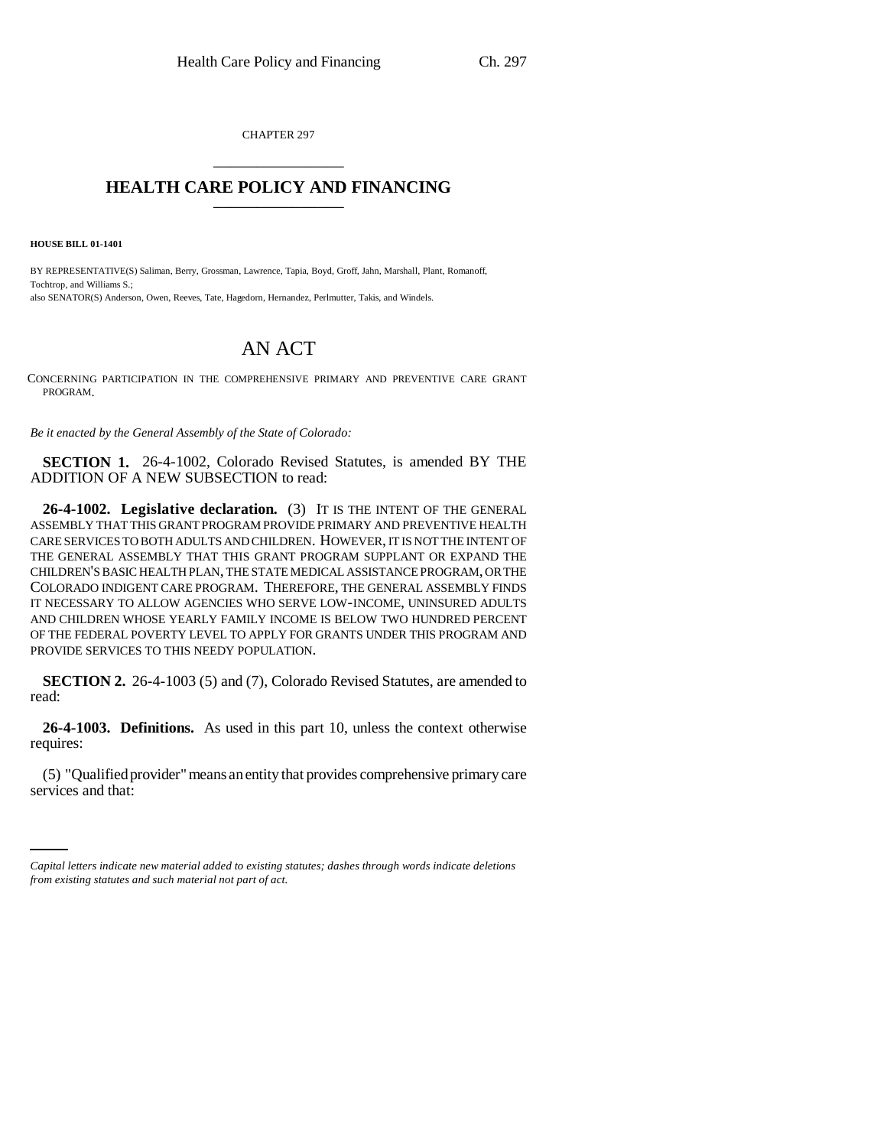CHAPTER 297 \_\_\_\_\_\_\_\_\_\_\_\_\_\_\_

## **HEALTH CARE POLICY AND FINANCING** \_\_\_\_\_\_\_\_\_\_\_\_\_\_\_

**HOUSE BILL 01-1401**

BY REPRESENTATIVE(S) Saliman, Berry, Grossman, Lawrence, Tapia, Boyd, Groff, Jahn, Marshall, Plant, Romanoff, Tochtrop, and Williams S.; also SENATOR(S) Anderson, Owen, Reeves, Tate, Hagedorn, Hernandez, Perlmutter, Takis, and Windels.

## AN ACT

CONCERNING PARTICIPATION IN THE COMPREHENSIVE PRIMARY AND PREVENTIVE CARE GRANT PROGRAM.

*Be it enacted by the General Assembly of the State of Colorado:*

**SECTION 1.** 26-4-1002, Colorado Revised Statutes, is amended BY THE ADDITION OF A NEW SUBSECTION to read:

**26-4-1002. Legislative declaration.** (3) IT IS THE INTENT OF THE GENERAL ASSEMBLY THAT THIS GRANT PROGRAM PROVIDE PRIMARY AND PREVENTIVE HEALTH CARE SERVICES TO BOTH ADULTS AND CHILDREN. HOWEVER, IT IS NOT THE INTENT OF THE GENERAL ASSEMBLY THAT THIS GRANT PROGRAM SUPPLANT OR EXPAND THE CHILDREN'S BASIC HEALTH PLAN, THE STATE MEDICAL ASSISTANCE PROGRAM, OR THE COLORADO INDIGENT CARE PROGRAM. THEREFORE, THE GENERAL ASSEMBLY FINDS IT NECESSARY TO ALLOW AGENCIES WHO SERVE LOW-INCOME, UNINSURED ADULTS AND CHILDREN WHOSE YEARLY FAMILY INCOME IS BELOW TWO HUNDRED PERCENT OF THE FEDERAL POVERTY LEVEL TO APPLY FOR GRANTS UNDER THIS PROGRAM AND PROVIDE SERVICES TO THIS NEEDY POPULATION.

**SECTION 2.** 26-4-1003 (5) and (7), Colorado Revised Statutes, are amended to read:

**26-4-1003. Definitions.** As used in this part 10, unless the context otherwise requires:

(5) "Qualified provider" means an entity that provides comprehensive primary care services and that:

*Capital letters indicate new material added to existing statutes; dashes through words indicate deletions from existing statutes and such material not part of act.*